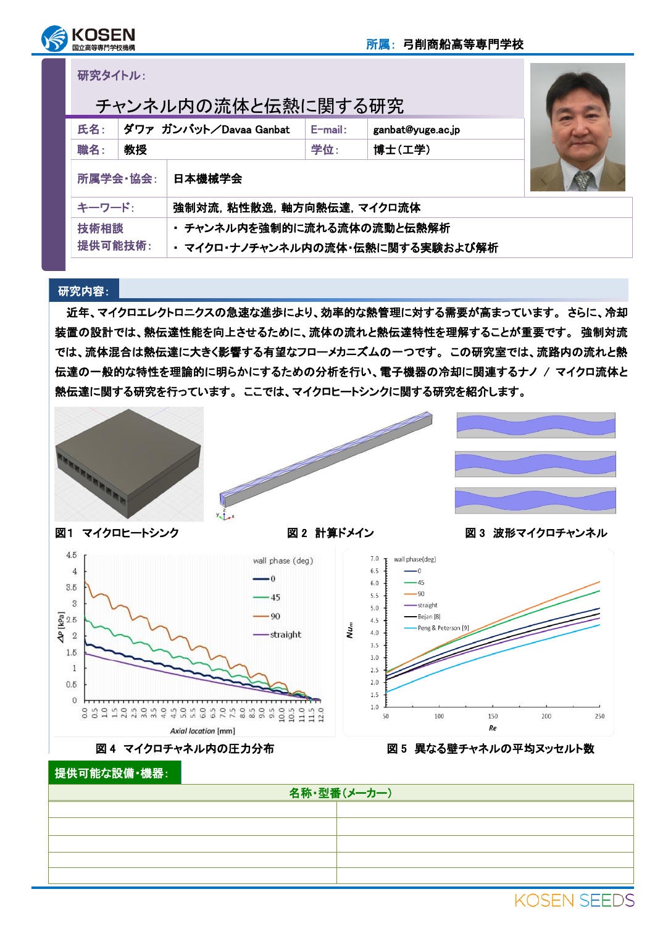

研究タイトル:

| チャンネル内の流体と伝熱に関する研究                 |                        |                                  |            |                   |  |  |  |
|------------------------------------|------------------------|----------------------------------|------------|-------------------|--|--|--|
| 氏名:                                | ダワァ ガンバット/Davaa Ganbat |                                  | $E$ -mail: | ganbat@yuge.ac.jp |  |  |  |
| 職名:                                | 教授                     |                                  | 学位:        | 博士(工学)            |  |  |  |
| 所属学会 協会:                           |                        | 日本機械学会                           |            |                   |  |  |  |
| キーワード:<br>強制対流,粘性散逸,軸方向熱伝達, マイクロ流体 |                        |                                  |            |                   |  |  |  |
| 技術相談                               |                        | ・ チャンネル内を強制的に流れる流体の流動と伝熱解析       |            |                   |  |  |  |
| 提供可能技術:                            |                        | ・ マイクロ・ナノチャンネル内の流体・伝熱に関する実験および解析 |            |                   |  |  |  |

## 研究内容:

近年、マイクロエレクトロニクスの急速な進歩により、効率的な熱管理に対する需要が高まっています。 さらに、冷却 装置の設計では、熱伝達性能を向上させるために、流体の流れと熱伝達特性を理解することが重要です。 強制対流 では、流体混合は熱伝達に大きく影響する有望なフローメカニズムの一つです。 この研究室では、流路内の流れと熱 伝達の一般的な特性を理論的に明らかにするための分析を行い、電子機器の冷却に関連するナノ / マイクロ流体と 熱伝達に関する研究を行っています。 ここでは、マイクロヒートシンクに関する研究を紹介します。







i

図1 マイクロヒートシンク インスコン 図2 計算ドメイン インスコン 図3 波形マイクロチャンネル

**KOSEN SEEDS** 







図 4 マイクロチャネル内の圧力分布 インス インス 図5 異なる壁チャネルの平均ヌッセルト数

提供可能な設備・機器:

| 名称·型番(メーカー) |              |  |  |  |  |
|-------------|--------------|--|--|--|--|
|             |              |  |  |  |  |
|             |              |  |  |  |  |
|             |              |  |  |  |  |
|             |              |  |  |  |  |
|             |              |  |  |  |  |
|             | 1700F110FFR0 |  |  |  |  |

√ur